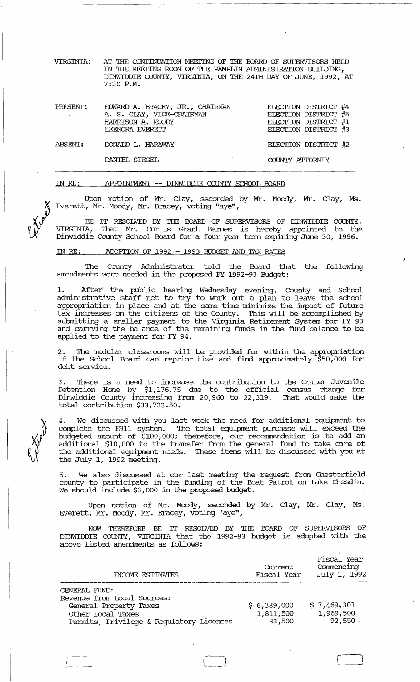VIRGINIA: AT THE CONTINUATION MEETING OF THE BOARD OF SUPERVISORS HEID IN THE MEETING ROOM OF THE PAMPLIN ADMINISTRATION BUILDING, DINWIDDIE COUNTY, VIRGINIA, ON THE 24TH DAY OF JUNE, 1992, AT 7:30 P.M.

| PRESENT: | EDWARD A. BRACEY, JR., CHAIRMAN<br>A. S. CLAY, VICE-CHAIRMAN<br>HARRISON A. MOODY<br><b>LEENORA EVERETT</b> | ELECTION DISTRICT #4<br>ELECTION DISTRICT #5<br>ELECTION DISTRICT #1<br>ELECTION DISTRICT #3 |
|----------|-------------------------------------------------------------------------------------------------------------|----------------------------------------------------------------------------------------------|
| ABSENT:  | DONAID L. HARAWAY                                                                                           | ELECTION DISTRICT #2                                                                         |
|          | DANIEL SIEGEL                                                                                               | COUNTY ATTORNEY                                                                              |

## IN RE: APPOINIMENT -- DINWIDDIE COUNTY SCHOOL BOARD

Upon motion of Mr. Clay, seconded by Mr. Moody, Mr. Clay, Ms. Everett, Mr. Moody, Mr. Bracey, voting "aye",

BE IT RESOLVED BY THE BOARD OF SUPERVISORS OF DINWIDDIE COUNTY,<br>VIRGINIA, that Mr. Curtis Grant Barnes is hereby appointed to the VIRGINIA, that Mr. CUrtis Grant Barnes is hereby appointed to the Dinwiddie County School Board for a four year tenn expiring June 30, 1996.

## IN RE: ADOPTION OF 1992 - 1993 BUDGET AND TAX RATES

The County Administrator told the Board that the following amendments were needed in the proposed FY 1992-93 Budget:

1. After' the public hearing Wednesday evening, County and School administrative staff met to try to work out a plan to leave the school appropriation in place and at the same time minimize the impact of future tax increases on the citizens of the County. This will be accomplished by submitting a smaller payment to the Virginia Retirement System for FY 93 and carrying the balance of the remaining funds in the fund balance to be applied to the payment for FY 94.

The modular classrooms will be provided for within the appropriation if the School Board can reprioritize and find approximately \$50,000 for debt service.

3. There is a need to increase the contribution to the Crater Juvenile Detention Home by \$1,176.75 due to the official census change for Dinwiddie County increasing from 20,960 to 22,319. That would make the total contribution \$33,733.50.

4. We discussed with you last week the need for additional equipment to complete the E911 system. The total equipment purchase will exceed the budgeted amount of \$100,000; therefore, our recommendation is to add an additional \$10,000 to the transfer from the general fund to take care of the additional equipment needs. These items will be discussed with you at the July 1, 1992 meeting.

We also discussed at our last meeting the request from Chesterfield county to participate in the funding of the Boat Patrol on lake Chesdin. We should include \$3,000 in the proposed budget.

Upon motion of Mr. Moody, seconded by Mr. Clay, Mr. Clay, Ms. Everett, Mr. Moody, Mr. Bracey, voting "aye",

NOW THEREFDRE BE IT RESOLVED BY THE BOARD OF SUPERVISORS OF DINWIDDIE COUNTY, VIRGINIA that the 1992-93 budget is adopted with the above listed amendments as follows:

| <b>INCOME ESTIMATES</b>                  | Current<br>Fiscal Year | Fiscal Year<br>Commencing<br>July 1, 1992 |
|------------------------------------------|------------------------|-------------------------------------------|
| GENERAL FUND:                            |                        |                                           |
| Revenue from Local Sources:              |                        |                                           |
| General Property Taxes                   | \$6,389,000            | \$7,469,301                               |
| Other Local Taxes                        | 1,811,500              | 1,969,500                                 |
| Permits, Privilege & Regulatory Licenses | 83,500                 | 92,550                                    |

 $\sqrt{ }$ 

.~

 $\begin{pmatrix} 1 & 1 \\ 1 & 1 \end{pmatrix}$ 

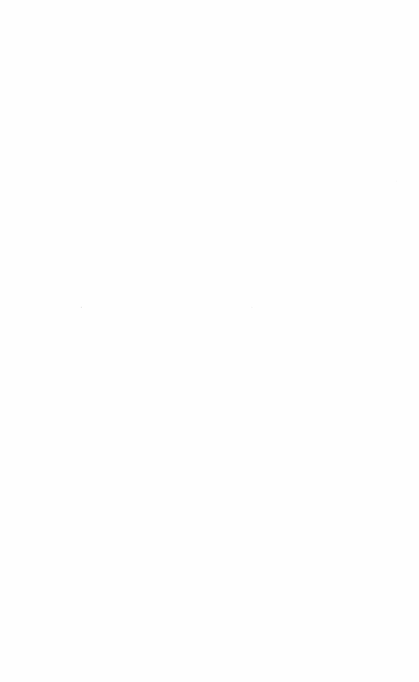$\label{eq:2.1} \frac{1}{\sqrt{2}}\sum_{i=1}^n\frac{1}{\sqrt{2}}\sum_{i=1}^n\frac{1}{\sqrt{2}}\sum_{i=1}^n\frac{1}{\sqrt{2}}\sum_{i=1}^n\frac{1}{\sqrt{2}}\sum_{i=1}^n\frac{1}{\sqrt{2}}\sum_{i=1}^n\frac{1}{\sqrt{2}}\sum_{i=1}^n\frac{1}{\sqrt{2}}\sum_{i=1}^n\frac{1}{\sqrt{2}}\sum_{i=1}^n\frac{1}{\sqrt{2}}\sum_{i=1}^n\frac{1}{\sqrt{2}}\sum_{i=1}^n\frac$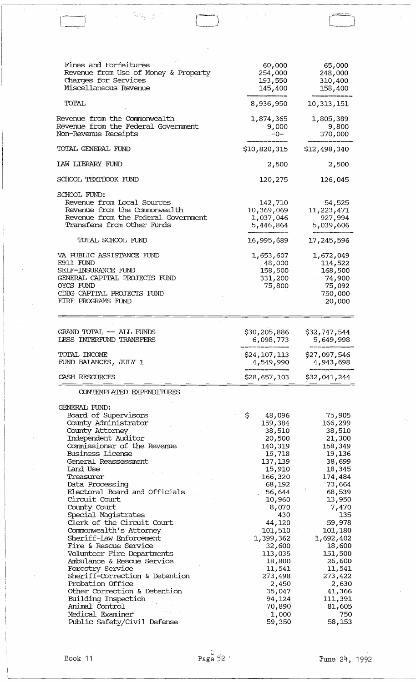| Fines and Forfeitures<br>Revenue from Use of Money & Property<br>Charges for Services<br>Miscellaneous Revenue                                                                                                                                                                                                                                                                                                                                                                                                                                                                                                                                                                 | 60,000<br>254,000<br>193,550<br>145,400                                                                                                                                                                                                                                                 | 65,000<br>248,000<br>310,400<br>158,400                                                                                                                                                                                                                                      |
|--------------------------------------------------------------------------------------------------------------------------------------------------------------------------------------------------------------------------------------------------------------------------------------------------------------------------------------------------------------------------------------------------------------------------------------------------------------------------------------------------------------------------------------------------------------------------------------------------------------------------------------------------------------------------------|-----------------------------------------------------------------------------------------------------------------------------------------------------------------------------------------------------------------------------------------------------------------------------------------|------------------------------------------------------------------------------------------------------------------------------------------------------------------------------------------------------------------------------------------------------------------------------|
| TOTAL                                                                                                                                                                                                                                                                                                                                                                                                                                                                                                                                                                                                                                                                          | 8,936,950                                                                                                                                                                                                                                                                               | 10, 313, 151                                                                                                                                                                                                                                                                 |
| Revenue from the Commonwealth<br>Revenue from the Federal Government<br>Non-Revenue Receipts                                                                                                                                                                                                                                                                                                                                                                                                                                                                                                                                                                                   | 1,874,365<br>9,000<br>-0-                                                                                                                                                                                                                                                               | 1,805,389<br>9,800<br>370,000                                                                                                                                                                                                                                                |
| TOTAL GENERAL FUND                                                                                                                                                                                                                                                                                                                                                                                                                                                                                                                                                                                                                                                             | \$10,820,315                                                                                                                                                                                                                                                                            | \$12,498,340                                                                                                                                                                                                                                                                 |
| LAW LIBRARY FUND                                                                                                                                                                                                                                                                                                                                                                                                                                                                                                                                                                                                                                                               | 2,500                                                                                                                                                                                                                                                                                   | 2,500                                                                                                                                                                                                                                                                        |
| SCHOOL TEXTBOOK FUND                                                                                                                                                                                                                                                                                                                                                                                                                                                                                                                                                                                                                                                           | 120,275                                                                                                                                                                                                                                                                                 | 126,045                                                                                                                                                                                                                                                                      |
| SCHOOL FUND:<br>Revenue from Local Sources<br>Revenue from the Commonwealth<br>Revenue from the Federal Government<br>Transfers from Other Funds                                                                                                                                                                                                                                                                                                                                                                                                                                                                                                                               | 142,710<br>10,369,069<br>1,037,046<br>5,446,864                                                                                                                                                                                                                                         | 54,525<br>11,223,471<br>927,994<br>5,039,606                                                                                                                                                                                                                                 |
| TOTAL SCHOOL FUND                                                                                                                                                                                                                                                                                                                                                                                                                                                                                                                                                                                                                                                              | 16,995,689                                                                                                                                                                                                                                                                              | 17,245,596                                                                                                                                                                                                                                                                   |
| VA PUBLIC ASSISTANCE FUND<br>E911 FUND<br>SELF-INSURANCE FUND<br>GENERAL CAPITAL PROJECTS FUND<br>OYCS FUND<br>CDBG CAPITAL PROJECTS FUND<br>FIRE PROGRAMS FUND                                                                                                                                                                                                                                                                                                                                                                                                                                                                                                                | 1,653,607<br>48,000<br>158,500<br>331,200<br>75,800                                                                                                                                                                                                                                     | 1,672,049<br>114,522<br>168,500<br>74,900<br>75,092<br>750,000<br>20,000                                                                                                                                                                                                     |
| GRAND TOTAL -- ALL FUNDS<br>LESS INTERFUND TRANSFERS                                                                                                                                                                                                                                                                                                                                                                                                                                                                                                                                                                                                                           | \$30,205,886<br>6,098,773                                                                                                                                                                                                                                                               | \$32,747,544<br>5,649,998                                                                                                                                                                                                                                                    |
| TOTAL INCOME<br>FUND BALANCES, JULY 1                                                                                                                                                                                                                                                                                                                                                                                                                                                                                                                                                                                                                                          | \$24,107,113<br>4,549,990                                                                                                                                                                                                                                                               | \$27,097,546<br>4,943,698                                                                                                                                                                                                                                                    |
| CASH RESOURCES                                                                                                                                                                                                                                                                                                                                                                                                                                                                                                                                                                                                                                                                 | \$28,657,103                                                                                                                                                                                                                                                                            | \$32,041,244                                                                                                                                                                                                                                                                 |
| CONTEMPIATED EXPENDITURES                                                                                                                                                                                                                                                                                                                                                                                                                                                                                                                                                                                                                                                      |                                                                                                                                                                                                                                                                                         |                                                                                                                                                                                                                                                                              |
| GENERAL FUND:<br>Board of Supervisors<br>County Administrator<br>County Attorney<br>Independent Auditor<br>Commissioner of the Revenue<br><b>Business License</b><br>General Reassessment<br>Land Use<br>Treasurer<br>Data Processing<br>Electoral Board and Officials<br>Circuit Court<br>County Court<br>Special Magistrates<br>Clerk of the Circuit Court<br>Commonwealth's Attorney<br>Sheriff-Law Enforcement<br>Fire & Rescue Service<br>Volunteer Fire Departments<br>Ambulance & Rescue Service<br>Forestry Service<br>Sheriff-Correction & Detention<br>Probation Office<br>Other Correction & Detention<br>Building Inspection<br>Animal Control<br>Medical Examiner | \$<br>48,096<br>159,384<br>38,510<br>20,500<br>140,319<br>15,718<br>137,139<br>15,910<br>166,320<br>68,192<br>56,644<br>10,960<br>8,070<br>430<br>44,120<br>101,510<br>1,399,362<br>32,600<br>113,035<br>18,800<br>11,541<br>273,498<br>2,450<br>35,047<br>94,124<br>70,890<br>$-1,000$ | 75,905<br>166,299<br>38,510<br>21,300<br>158,349<br>19,136<br>38,699<br>18,345<br>174,484<br>73,664<br>68,539<br>13,950<br>7,470<br>135<br>59,978<br>101,180<br>1,692,402<br>18,600<br>151,500<br>26,600<br>11,541<br>273,422<br>2,630<br>41,366<br>111,391<br>81,605<br>750 |
| Public Safety/Civil Defense                                                                                                                                                                                                                                                                                                                                                                                                                                                                                                                                                                                                                                                    | 59,350                                                                                                                                                                                                                                                                                  | 58,153                                                                                                                                                                                                                                                                       |

 $\langle\cdot\rangle/\lambda$ 

 $\frac{1}{2}$  $\frac{1}{2}$ 

1990年<br>1990年

 $\frac{1}{2}$ 

 $\ddot{\cdot}$ 

 $\frac{1}{2}$ 

 $\hat{\psi}_k$ 

 $\hat{\mathcal{E}}$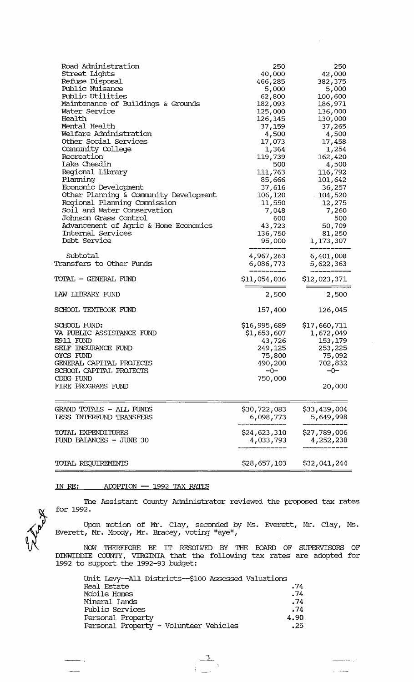| Road Administration<br>Street Lights<br>Refuse Disposal<br>Public Nuisance<br>Public Utilities<br>Maintenance of Buildings & Grounds<br>Water Service<br>Health<br>Mental Health<br>Welfare Administration<br>Other Social Services<br>Community College<br>Recreation<br>Lake Chesdin<br>Regional Library<br>Planning<br>Economic Development<br>Other Planning & Community Development<br>Regional Planning Commission<br>Soil and Water Conservation<br>Johnson Grass Control<br>Advancement of Agric & Home Economics<br>Internal Services<br>Debt Service | 250<br>40,000<br>466,285<br>5,000<br>62,800<br>182,093<br>125,000<br>126,145<br>37,159<br>4,500<br>17,073<br>1,364<br>119,739<br>500<br>111,763<br>85,666<br>37,616<br>106,120<br>11,550<br>7,048<br>600<br>43,723<br>136,750<br>95,000 | 250<br>42,000<br>382,375<br>5,000<br>100,600<br>186,971<br>136,000<br>130,000<br>37,265<br>4,500<br>17,458<br>1,254<br>162,420<br>4,500<br>116,792<br>101,642<br>36,257<br>$-104,520$<br>12,275<br>7,260<br>500<br>50,709<br>81,250<br>1,173,307 |
|----------------------------------------------------------------------------------------------------------------------------------------------------------------------------------------------------------------------------------------------------------------------------------------------------------------------------------------------------------------------------------------------------------------------------------------------------------------------------------------------------------------------------------------------------------------|-----------------------------------------------------------------------------------------------------------------------------------------------------------------------------------------------------------------------------------------|--------------------------------------------------------------------------------------------------------------------------------------------------------------------------------------------------------------------------------------------------|
| Subtotal<br>Transfers to Other Funds                                                                                                                                                                                                                                                                                                                                                                                                                                                                                                                           | 4,967,263<br>6,086,773                                                                                                                                                                                                                  | 6,401,008<br>5,622,363                                                                                                                                                                                                                           |
| TOTAL - GENERAL FUND                                                                                                                                                                                                                                                                                                                                                                                                                                                                                                                                           | \$11,054,036                                                                                                                                                                                                                            | \$12,023,371                                                                                                                                                                                                                                     |
| <b>IAW LIBRARY FUND</b>                                                                                                                                                                                                                                                                                                                                                                                                                                                                                                                                        | 2,500                                                                                                                                                                                                                                   | 2,500                                                                                                                                                                                                                                            |
| SCHOOL TEXTBOOK FUND                                                                                                                                                                                                                                                                                                                                                                                                                                                                                                                                           | 157,400                                                                                                                                                                                                                                 | 126,045                                                                                                                                                                                                                                          |
| SCHOOL FUND:<br>VA PUBLIC ASSISTANCE FUND<br>E911 FUND<br>SELF INSURANCE FUND<br>OYCS FUND<br>GENERAL CAPITAL PROJECTS<br>SCHOOL CAPITAL PROJECTS<br>CDBG FUND<br>FIRE PROGRAMS FUND                                                                                                                                                                                                                                                                                                                                                                           | \$16,995,689<br>\$1,653,607<br>43,726<br>249,125<br>75,800<br>490,200<br>$-0-$<br>750,000                                                                                                                                               | \$17,660,711<br>1,672,049<br>153,179<br>253,225<br>75,092<br>702,832<br>-0-<br>20,000                                                                                                                                                            |
| GRAND TOTALS - ALL FUNDS<br><b>LESS INTERFUND TRANSFERS</b>                                                                                                                                                                                                                                                                                                                                                                                                                                                                                                    | \$30,722,083<br>6,098,773                                                                                                                                                                                                               | \$33,439,004<br>5,649,998                                                                                                                                                                                                                        |
| TOTAL EXPENDITURES<br>FUND BALANCES - JUNE 30                                                                                                                                                                                                                                                                                                                                                                                                                                                                                                                  | \$24,623,310<br>4,033,793                                                                                                                                                                                                               | \$27,789,006<br>4,252,238                                                                                                                                                                                                                        |
| TOTAL REQUIREMENTS                                                                                                                                                                                                                                                                                                                                                                                                                                                                                                                                             | \$28,657,103                                                                                                                                                                                                                            | \$32,041,244                                                                                                                                                                                                                                     |

ADOPTION -- 1992 TAX RATES IN RE:

The Assistant County Administrator reviewed the proposed tax rates for 1992.

Upon motion of Mr. Clay, seconded by Ms. Everett, Mr. Clay, Ms. Everett, Mr. Moody, Mr. Bracey, voting "aye",

NOW THEREFORE BE IT RESOLVED BY THE BOARD OF SUPERVISORS OF DINWIDDIE COUNTY, VIRGINIA that the following tax rates are adopted for<br>1992 to support the 1992-93 budget:

 $\frac{3}{\sqrt{2}}$ 

 $\mathbf{r} = \cos \alpha$ ma

| Unit Levy-—All Districts-—\$100 Assessed Valuations |      |
|-----------------------------------------------------|------|
| Real Estate                                         | .74  |
| Mobile Homes                                        | .74  |
| Mineral Iands                                       | .74  |
| Public Services                                     | .74  |
| Personal Property                                   | 4.90 |
| Personal Property - Volunteer Vehicles              | .25  |



 $\overline{\phantom{a}}$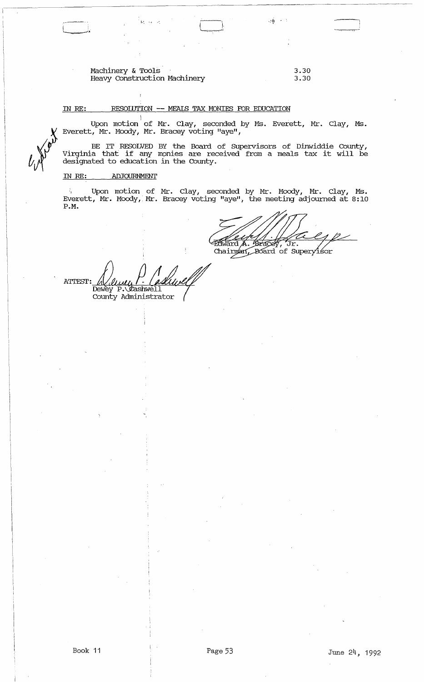Machinery & Tools Heavy Construction Machinery

# 3.30 3.30

.<br>نا د

# IN RE: RESOLUTION -- MEALS TAX MONIES FOR EDUCATION

Upon motion of Mr. Clay, seconded by Ms. Everett, Mr. Clay, Ms. Everett, Mr. Moody, Mr. Bracey voting "aye",

BE IT RESOLVED BY the Board of Supervisors of Dinwiddie County,<br>Virginia that if any monies are received from a meals tax it will be designated to education in the County.

#### ADJOURNMENT IN RE:

Upon motion of Mr. Clay, seconded by Mr. Moody, Mr. Clay, Ms. Everett, Mr. Moody, Mr. Bracey voting "aye", the meeting adjourned at 8:10  $P.M.$ 

Foward A. Bracey, Jr. 77

ATTEST: Dew County Administrator